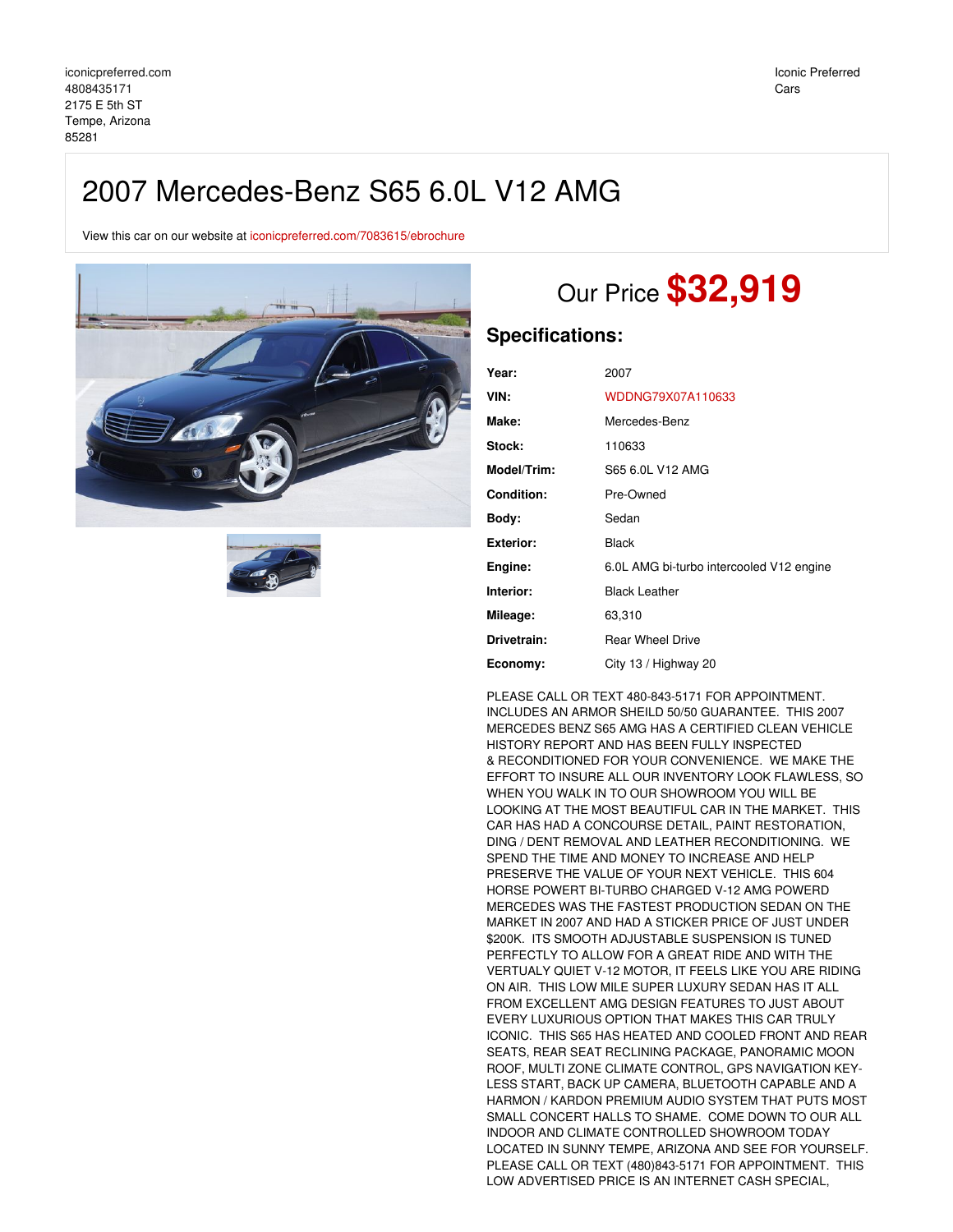## 2007 Mercedes-Benz S65 6.0L V12 AMG

View this car on our website at [iconicpreferred.com/7083615/ebrochure](https://iconicpreferred.com/vehicle/7083615/2007-mercedes-benz-s65-6-0l-v12-amg-tempe-arizona-85281/7083615/ebrochure)





# Our Price **\$32,919**

### **Specifications:**

| Year:             | 2007                                     |
|-------------------|------------------------------------------|
| VIN:              | WDDNG79X07A110633                        |
| Make:             | Mercedes-Benz                            |
| Stock:            | 110633                                   |
| Model/Trim:       | S65 6.0L V12 AMG                         |
| <b>Condition:</b> | Pre-Owned                                |
| Bodv:             | Sedan                                    |
| Exterior:         | <b>Black</b>                             |
| Engine:           | 6.0L AMG bi-turbo intercooled V12 engine |
| Interior:         | <b>Black Leather</b>                     |
| Mileage:          | 63,310                                   |
| Drivetrain:       | <b>Rear Wheel Drive</b>                  |
| Economy:          | City 13 / Highway 20                     |

PLEASE CALL OR TEXT 480-843-5171 FOR APPOINTMENT. INCLUDES AN ARMOR SHEILD 50/50 GUARANTEE. THIS 2007 MERCEDES BENZ S65 AMG HAS A CERTIFIED CLEAN VEHICLE HISTORY REPORT AND HAS BEEN FULLY INSPECTED & RECONDITIONED FOR YOUR CONVENIENCE. WE MAKE THE EFFORT TO INSURE ALL OUR INVENTORY LOOK FLAWLESS, SO WHEN YOU WALK IN TO OUR SHOWROOM YOU WILL BE LOOKING AT THE MOST BEAUTIFUL CAR IN THE MARKET. THIS CAR HAS HAD A CONCOURSE DETAIL, PAINT RESTORATION, DING / DENT REMOVAL AND LEATHER RECONDITIONING. WE SPEND THE TIME AND MONEY TO INCREASE AND HELP PRESERVE THE VALUE OF YOUR NEXT VEHICLE. THIS 604 HORSE POWERT BI-TURBO CHARGED V-12 AMG POWERD MERCEDES WAS THE FASTEST PRODUCTION SEDAN ON THE MARKET IN 2007 AND HAD A STICKER PRICE OF JUST UNDER \$200K. ITS SMOOTH ADJUSTABLE SUSPENSION IS TUNED PERFECTLY TO ALLOW FOR A GREAT RIDE AND WITH THE VERTUALY QUIET V-12 MOTOR, IT FEELS LIKE YOU ARE RIDING ON AIR. THIS LOW MILE SUPER LUXURY SEDAN HAS IT ALL FROM EXCELLENT AMG DESIGN FEATURES TO JUST ABOUT EVERY LUXURIOUS OPTION THAT MAKES THIS CAR TRULY ICONIC. THIS S65 HAS HEATED AND COOLED FRONT AND REAR SEATS, REAR SEAT RECLINING PACKAGE, PANORAMIC MOON ROOF, MULTI ZONE CLIMATE CONTROL, GPS NAVIGATION KEY-LESS START, BACK UP CAMERA, BLUETOOTH CAPABLE AND A HARMON / KARDON PREMIUM AUDIO SYSTEM THAT PUTS MOST SMALL CONCERT HALLS TO SHAME. COME DOWN TO OUR ALL INDOOR AND CLIMATE CONTROLLED SHOWROOM TODAY LOCATED IN SUNNY TEMPE, ARIZONA AND SEE FOR YOURSELF. PLEASE CALL OR TEXT (480)843-5171 FOR APPOINTMENT. THIS LOW ADVERTISED PRICE IS AN INTERNET CASH SPECIAL,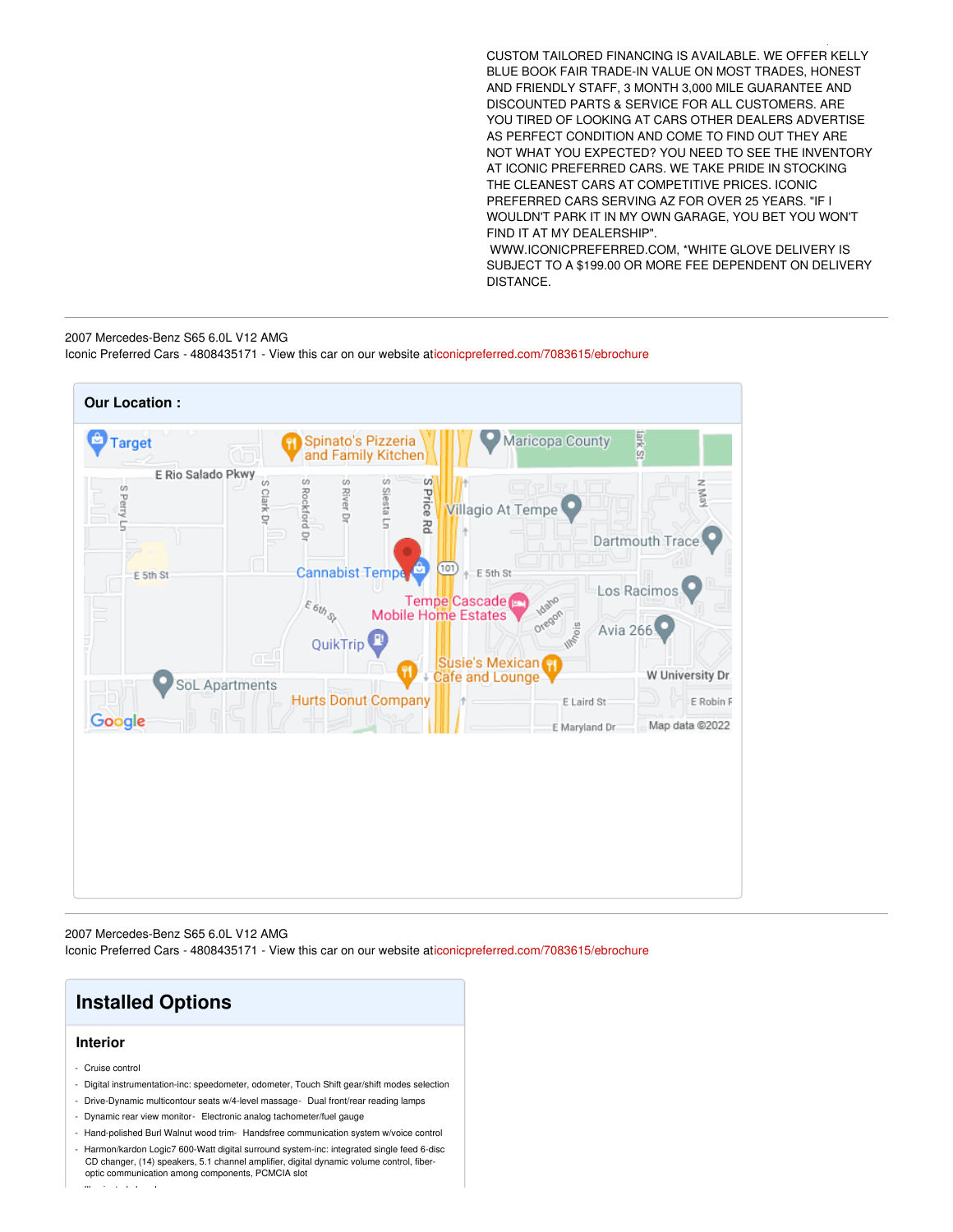CUSTOM TAILORED FINANCING IS AVAILABLE. WE OFFER KELLY BLUE BOOK FAIR TRADE-IN VALUE ON MOST TRADES, HONEST AND FRIENDLY STAFF, 3 MONTH 3,000 MILE GUARANTEE AND DISCOUNTED PARTS & SERVICE FOR ALL CUSTOMERS. ARE YOU TIRED OF LOOKING AT CARS OTHER DEALERS ADVERTISE AS PERFECT CONDITION AND COME TO FIND OUT THEY ARE NOT WHAT YOU EXPECTED? YOU NEED TO SEE THE INVENTORY AT ICONIC PREFERRED CARS. WE TAKE PRIDE IN STOCKING THE CLEANEST CARS AT COMPETITIVE PRICES. ICONIC PREFERRED CARS SERVING AZ FOR OVER 25 YEARS. "IF I WOULDN'T PARK IT IN MY OWN GARAGE, YOU BET YOU WON'T FIND IT AT MY DEALERSHIP".

 $L$  and  $L$  and  $L$  and  $L$  and  $L$  and  $L$  and  $L$  and  $L$ 

WWW.ICONICPREFERRED.COM, \*WHITE GLOVE DELIVERY IS SUBJECT TO A \$199.00 OR MORE FEE DEPENDENT ON DELIVERY DISTANCE.

2007 Mercedes-Benz S65 6.0L V12 AMG Iconic Preferred Cars - 4808435171 - View this car on our website a[ticonicpreferred.com/7083615/ebrochure](https://iconicpreferred.com/vehicle/7083615/2007-mercedes-benz-s65-6-0l-v12-amg-tempe-arizona-85281/7083615/ebrochure)



2007 Mercedes-Benz S65 6.0L V12 AMG Iconic Preferred Cars - 4808435171 - View this car on our website a[ticonicpreferred.com/7083615/ebrochure](https://iconicpreferred.com/vehicle/7083615/2007-mercedes-benz-s65-6-0l-v12-amg-tempe-arizona-85281/7083615/ebrochure)

## **Installed Options**

#### **Interior**

- Cruise control
- Digital instrumentation-inc: speedometer, odometer, Touch Shift gear/shift modes selection
- Drive-Dynamic multicontour seats w/4-level massage- Dual front/rear reading lamps
- Dynamic rear view monitor- Electronic analog tachometer/fuel gauge
- Hand-polished Burl Walnut wood trim- Handsfree communication system w/voice control
- Harmon/kardon Logic7 600-Watt digital surround system-inc: integrated single feed 6-disc CD changer, (14) speakers, 5.1 channel amplifier, digital dynamic volume control, fiberoptic communication among components, PCMCIA slot

- Illuminated glove box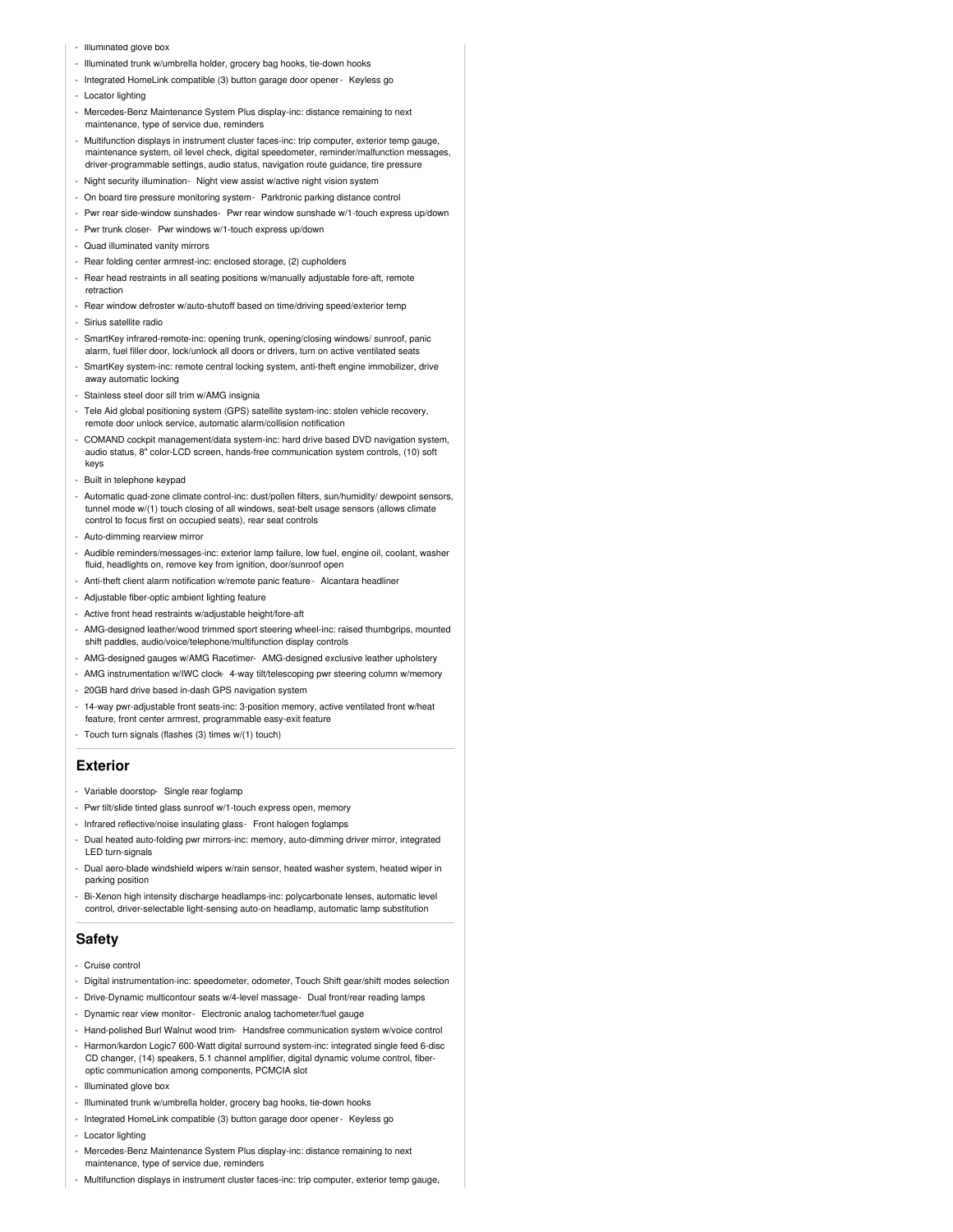- Illuminated glove box
- Illuminated trunk w/umbrella holder, grocery bag hooks, tie-down hooks
- Integrated HomeLink compatible (3) button garage door opener- Keyless go
- Locator lighting
- Mercedes-Benz Maintenance System Plus display-inc: distance remaining to next maintenance, type of service due, reminders
- Multifunction displays in instrument cluster faces-inc: trip computer, exterior temp gauge, maintenance system, oil level check, digital speedometer, reminder/malfunction messages, driver-programmable settings, audio status, navigation route guidance, tire pressure
- Night security illumination- Night view assist w/active night vision system
- On board tire pressure monitoring system- Parktronic parking distance control
- Pwr rear side-window sunshades- Pwr rear window sunshade w/1-touch express up/down
- Pwr trunk closer- Pwr windows w/1-touch express up/down
- Quad illuminated vanity mirrors
- Rear folding center armrest-inc: enclosed storage, (2) cupholders
- Rear head restraints in all seating positions w/manually adjustable fore-aft, remote retraction
- Rear window defroster w/auto-shutoff based on time/driving speed/exterior temp - Sirius satellite radio
- 
- SmartKey infrared-remote-inc: opening trunk, opening/closing windows/ sunroof, panic alarm, fuel filler door, lock/unlock all doors or drivers, turn on active ventilated seats
- SmartKey system-inc: remote central locking system, anti-theft engine immobilizer, drive away automatic locking
- Stainless steel door sill trim w/AMG insignia
- Tele Aid global positioning system (GPS) satellite system-inc: stolen vehicle recovery, remote door unlock service, automatic alarm/collision notification
- COMAND cockpit management/data system-inc: hard drive based DVD navigation system, audio status, 8" color-LCD screen, hands-free communication system controls, (10) soft keys
- Built in telephone keypad
- Automatic quad-zone climate control-inc: dust/pollen filters, sun/humidity/ dewpoint sensors, tunnel mode w/(1) touch closing of all windows, seat-belt usage sensors (allows climate control to focus first on occupied seats), rear seat controls
- Auto-dimming rearview mirror
- Audible reminders/messages-inc: exterior lamp failure, low fuel, engine oil, coolant, washer fluid, headlights on, remove key from ignition, door/sunroof open
- Anti-theft client alarm notification w/remote panic feature Alcantara headliner
- Adjustable fiber-optic ambient lighting feature
- Active front head restraints w/adjustable height/fore-aft
- AMG-designed leather/wood trimmed sport steering wheel-inc: raised thumbgrips, mounted shift paddles, audio/voice/telephone/multifunction display controls
- AMG-designed gauges w/AMG Racetimer- AMG-designed exclusive leather upholstery
- AMG instrumentation w/IWC clock-4-way tilt/telescoping pwr steering column w/memory
- 20GB hard drive based in-dash GPS navigation system
- 14-way pwr-adjustable front seats-inc: 3-position memory, active ventilated front w/heat feature, front center armrest, programmable easy-exit feature
- Touch turn signals (flashes (3) times w/(1) touch)

#### **Exterior**

- Variable doorstop- Single rear foglamp
- Pwr tilt/slide tinted glass sunroof w/1-touch express open, memory
- Infrared reflective/noise insulating glass- Front halogen foglamps
- Dual heated auto-folding pwr mirrors-inc: memory, auto-dimming driver mirror, integrated LED turn-signals
- Dual aero-blade windshield wipers w/rain sensor, heated washer system, heated wiper in parking position
- Bi-Xenon high intensity discharge headlamps-inc: polycarbonate lenses, automatic level control, driver-selectable light-sensing auto-on headlamp, automatic lamp substitution

#### **Safety**

- Cruise control
- Digital instrumentation-inc: speedometer, odometer, Touch Shift gear/shift modes selection
- Drive-Dynamic multicontour seats w/4-level massage- Dual front/rear reading lamps
- Dynamic rear view monitor- Electronic analog tachometer/fuel gauge
- Hand-polished Burl Walnut wood trim- Handsfree communication system w/voice control
- Harmon/kardon Logic7 600-Watt digital surround system-inc: integrated single feed 6-disc CD changer, (14) speakers, 5.1 channel amplifier, digital dynamic volume control, fiberoptic communication among components, PCMCIA slot
- Illuminated glove box
- Illuminated trunk w/umbrella holder, grocery bag hooks, tie-down hooks
- Integrated HomeLink compatible (3) button garage door opener- Keyless go
- Locator lighting
- Mercedes-Benz Maintenance System Plus display-inc: distance remaining to next maintenance, type of service due, reminders
- Multifunction displays in instrument cluster faces-inc: trip computer, exterior temp gauge,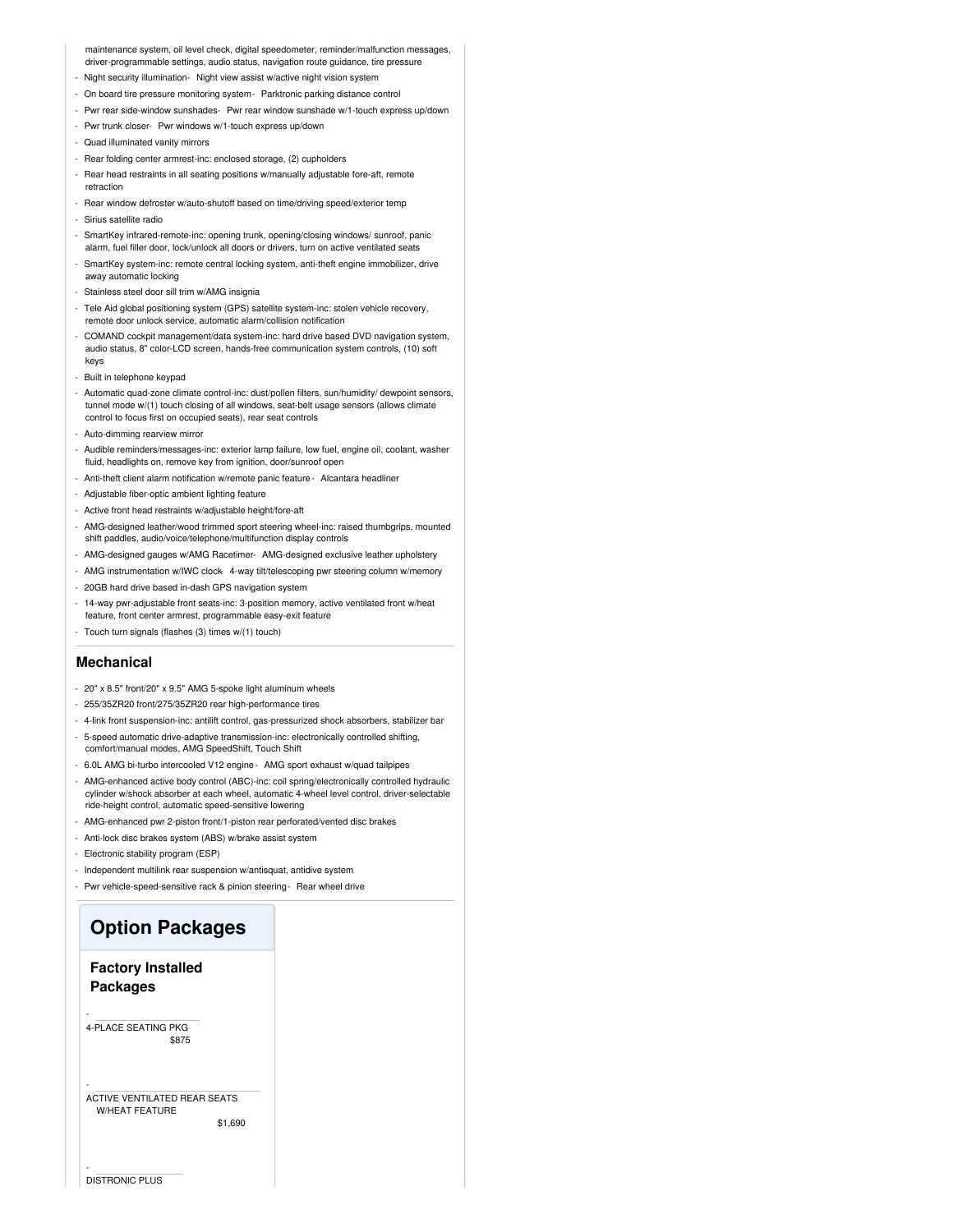maintenance system, oil level check, digital speedometer, reminder/malfunction messages, driver-programmable settings, audio status, navigation route guidance, tire pressure

- Night security illumination- Night view assist w/active night vision system
- On board tire pressure monitoring system- Parktronic parking distance control
- Pwr rear side-window sunshades- Pwr rear window sunshade w/1-touch express up/down
- Pwr trunk closer- Pwr windows w/1-touch express up/down
- Quad illuminated vanity mirrors
- Rear folding center armrest-inc: enclosed storage, (2) cupholders
- Rear head restraints in all seating positions w/manually adjustable fore-aft, remote retraction
- Rear window defroster w/auto-shutoff based on time/driving speed/exterior temp - Sirius satellite radio
- 
- SmartKey infrared-remote-inc: opening trunk, opening/closing windows/ sunroof, panic alarm, fuel filler door, lock/unlock all doors or drivers, turn on active ventilated seats
- SmartKey system-inc: remote central locking system, anti-theft engine immobilizer, drive away automatic locking
- Stainless steel door sill trim w/AMG insignia
- Tele Aid global positioning system (GPS) satellite system-inc: stolen vehicle recovery, remote door unlock service, automatic alarm/collision notification
- COMAND cockpit management/data system-inc: hard drive based DVD navigation system, audio status, 8" color-LCD screen, hands-free communication system controls, (10) soft keys
- Built in telephone keypad
- Automatic quad-zone climate control-inc: dust/pollen filters, sun/humidity/ dewpoint sensors, tunnel mode w/(1) touch closing of all windows, seat-belt usage sensors (allows climate control to focus first on occupied seats), rear seat controls
- Auto-dimming rearview mirror
- Audible reminders/messages-inc: exterior lamp failure, low fuel, engine oil, coolant, washer fluid, headlights on, remove key from ignition, door/sunroof open
- Anti-theft client alarm notification w/remote panic feature Alcantara headliner
- Adjustable fiber-optic ambient lighting feature
- Active front head restraints w/adjustable height/fore-aft
- AMG-designed leather/wood trimmed sport steering wheel-inc: raised thumbgrips, mounted shift paddles, audio/voice/telephone/multifunction display controls
- AMG-designed gauges w/AMG Racetimer- AMG-designed exclusive leather upholstery
- AMG instrumentation w/IWC clock-4-way tilt/telescoping pwr steering column w/memory
- 20GB hard drive based in-dash GPS navigation system
- 14-way pwr-adjustable front seats-inc: 3-position memory, active ventilated front w/heat feature, front center armrest, programmable easy-exit feature
- Touch turn signals (flashes (3) times w/(1) touch)

#### **Mechanical**

- 20" x 8.5" front/20" x 9.5" AMG 5-spoke light aluminum wheels
- 255/35ZR20 front/275/35ZR20 rear high-performance tires
- 4-link front suspension-inc: antilift control, gas-pressurized shock absorbers, stabilizer bar
- 5-speed automatic drive-adaptive transmission-inc: electronically controlled shifting, comfort/manual modes, AMG SpeedShift, Touch Shift
- 6.0L AMG bi-turbo intercooled V12 engine- AMG sport exhaust w/quad tailpipes
- AMG-enhanced active body control (ABC)-inc: coil spring/electronically controlled hydraulic cylinder w/shock absorber at each wheel, automatic 4-wheel level control, driver-selectable ride-height control, automatic speed-sensitive lowering
- AMG-enhanced pwr 2-piston front/1-piston rear perforated/vented disc brakes
- Anti-lock disc brakes system (ABS) w/brake assist system
- Electronic stability program (ESP)
- Independent multilink rear suspension w/antisquat, antidive system
- Pwr vehicle-speed-sensitive rack & pinion steering- Rear wheel drive

## **Option Packages**

#### **Factory Installed Packages**

\$875 4-PLACE SEATING PKG

-

-

-

#### ACTIVE VENTILATED REAR SEATS W/HEAT FEATURE

\$1,690

DISTRONIC PLUS